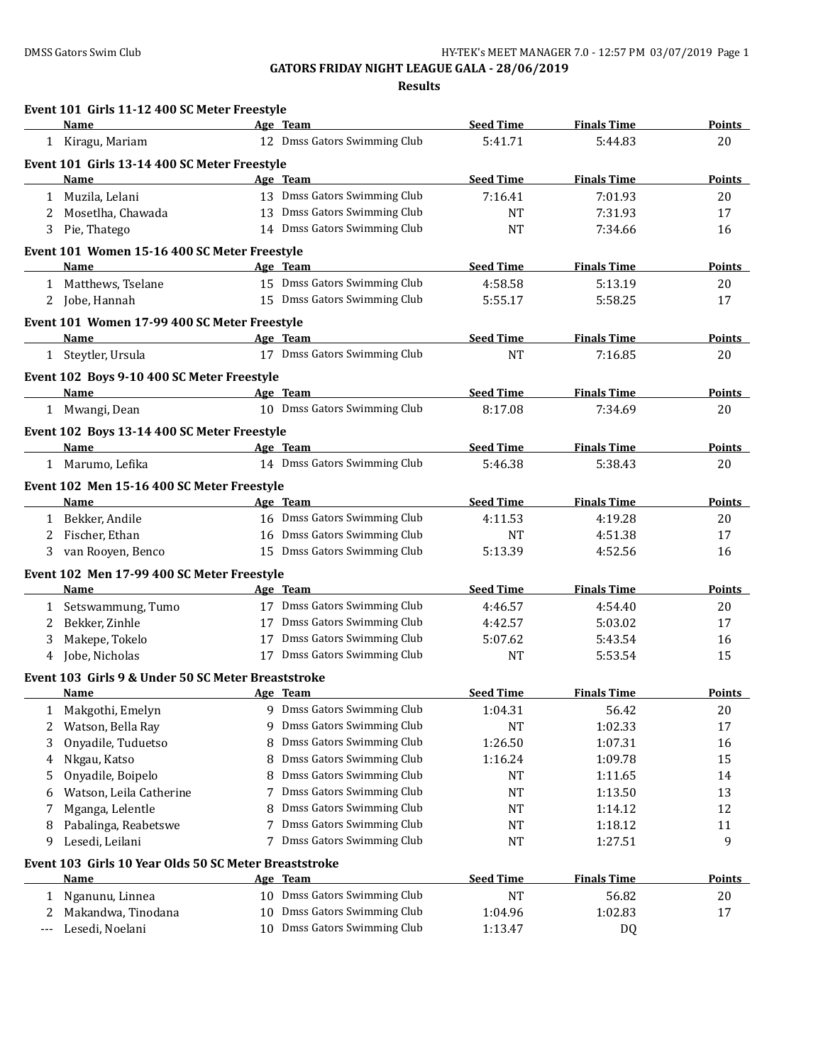| <b>Seed Time</b><br><b>Finals Time</b><br>Name<br>Age Team<br>12 Dmss Gators Swimming Club<br>5:41.71<br>1 Kiragu, Mariam<br>5:44.83<br>20<br>Event 101 Girls 13-14 400 SC Meter Freestyle<br><b>Seed Time</b><br>Name<br><b>Finals Time</b><br>Age Team<br>13 Dmss Gators Swimming Club<br>1 Muzila, Lelani<br>7:16.41<br>7:01.93<br>20<br>13 Dmss Gators Swimming Club<br>Mosetlha, Chawada<br><b>NT</b><br>7:31.93<br>17<br>2<br>14 Dmss Gators Swimming Club<br>Pie, Thatego<br><b>NT</b><br>7:34.66<br>3<br>16<br>Event 101 Women 15-16 400 SC Meter Freestyle<br><b>Seed Time</b><br><b>Finals Time</b><br>Name<br>Age Team<br>1 Matthews, Tselane<br>15 Dmss Gators Swimming Club<br>4:58.58<br>5:13.19<br>20<br>15 Dmss Gators Swimming Club<br>2 Jobe, Hannah<br>5:55.17<br>5:58.25<br>17<br>Event 101 Women 17-99 400 SC Meter Freestyle<br><b>Seed Time</b><br><b>Finals Time</b><br>Name<br>Age Team<br>17 Dmss Gators Swimming Club<br><b>NT</b><br>1 Steytler, Ursula<br>7:16.85<br>20<br>Event 102 Boys 9-10 400 SC Meter Freestyle<br><b>Seed Time</b><br><b>Finals Time</b><br>Age Team<br>Name<br>10 Dmss Gators Swimming Club<br>8:17.08<br>1 Mwangi, Dean<br>7:34.69<br>20<br>Event 102 Boys 13-14 400 SC Meter Freestyle<br><b>Seed Time</b><br><b>Finals Time</b><br>Name<br>Age Team<br>14 Dmss Gators Swimming Club<br>5:46.38<br>5:38.43<br>1 Marumo, Lefika<br>20<br>Event 102 Men 15-16 400 SC Meter Freestyle<br><b>Seed Time</b><br><b>Finals Time</b><br>Age Team<br>Name<br>16 Dmss Gators Swimming Club<br>1 Bekker, Andile<br>4:11.53<br>4:19.28<br>20<br>16 Dmss Gators Swimming Club<br>Fischer, Ethan<br>17<br>2<br><b>NT</b><br>4:51.38<br>15 Dmss Gators Swimming Club<br>van Rooyen, Benco<br>5:13.39<br>4:52.56<br>16<br>3<br>Event 102 Men 17-99 400 SC Meter Freestyle<br><b>Seed Time</b><br><b>Finals Time</b><br>Name<br>Age Team<br>17 Dmss Gators Swimming Club<br>Setswammung, Tumo<br>4:46.57<br>4:54.40<br>20<br>$\mathbf{1}$<br>17 Dmss Gators Swimming Club<br>Bekker, Zinhle<br>5:03.02<br>4:42.57<br>17<br>2<br>17 Dmss Gators Swimming Club<br>Makepe, Tokelo<br>5:07.62<br>5:43.54<br>3<br>16<br>17 Dmss Gators Swimming Club<br>Jobe, Nicholas<br><b>NT</b><br>5:53.54<br>15<br>4<br>Event 103 Girls 9 & Under 50 SC Meter Breaststroke<br><b>Seed Time</b><br><b>Finals Time</b><br>Name<br>Age Team<br>9 Dmss Gators Swimming Club<br>1:04.31<br>Makgothi, Emelyn<br>56.42<br>20<br>1<br>Dmss Gators Swimming Club<br>Watson, Bella Ray<br>1:02.33<br>17<br>2<br>9<br>NT<br>Dmss Gators Swimming Club<br>Onyadile, Tuduetso<br>1:26.50<br>1:07.31<br>16<br>3<br>8<br>Dmss Gators Swimming Club<br>Nkgau, Katso<br>1:16.24<br>1:09.78<br>15<br>8<br>4<br>Dmss Gators Swimming Club<br>Onyadile, Boipelo<br>8<br>NT<br>1:11.65<br>14<br>5<br>Dmss Gators Swimming Club<br>13<br>Watson, Leila Catherine<br>7<br>NT<br>1:13.50<br>6<br>Dmss Gators Swimming Club<br>Mganga, Lelentle<br>12<br>8<br>NT<br>1:14.12<br>7<br>Dmss Gators Swimming Club<br>Pabalinga, Reabetswe<br><b>NT</b><br>1:18.12<br>11<br>7<br>8<br>Dmss Gators Swimming Club<br>Lesedi, Leilani<br>9<br>9<br>7<br>NT<br>1:27.51<br>Event 103 Girls 10 Year Olds 50 SC Meter Breaststroke<br><b>Seed Time</b><br><b>Finals Time</b><br>Name<br>Age Team<br><b>Points</b><br>10 Dmss Gators Swimming Club<br><b>NT</b><br>56.82<br>20<br>Nganunu, Linnea<br>1<br>Dmss Gators Swimming Club<br>Makandwa, Tinodana<br>1:04.96<br>1:02.83<br>17<br>2<br>10<br>10 Dmss Gators Swimming Club<br>Lesedi, Noelani<br>1:13.47<br>DQ<br>--- | Event 101 Girls 11-12 400 SC Meter Freestyle |  |  |                |
|-------------------------------------------------------------------------------------------------------------------------------------------------------------------------------------------------------------------------------------------------------------------------------------------------------------------------------------------------------------------------------------------------------------------------------------------------------------------------------------------------------------------------------------------------------------------------------------------------------------------------------------------------------------------------------------------------------------------------------------------------------------------------------------------------------------------------------------------------------------------------------------------------------------------------------------------------------------------------------------------------------------------------------------------------------------------------------------------------------------------------------------------------------------------------------------------------------------------------------------------------------------------------------------------------------------------------------------------------------------------------------------------------------------------------------------------------------------------------------------------------------------------------------------------------------------------------------------------------------------------------------------------------------------------------------------------------------------------------------------------------------------------------------------------------------------------------------------------------------------------------------------------------------------------------------------------------------------------------------------------------------------------------------------------------------------------------------------------------------------------------------------------------------------------------------------------------------------------------------------------------------------------------------------------------------------------------------------------------------------------------------------------------------------------------------------------------------------------------------------------------------------------------------------------------------------------------------------------------------------------------------------------------------------------------------------------------------------------------------------------------------------------------------------------------------------------------------------------------------------------------------------------------------------------------------------------------------------------------------------------------------------------------------------------------------------------------------------------------------------------------------------------------------------------------------------------------------------------------------------------------------------------------------------------------------------------------------------------------------------------------------------------------------------------------------------------------------------------------------------------------------------------------------------------------------------|----------------------------------------------|--|--|----------------|
|                                                                                                                                                                                                                                                                                                                                                                                                                                                                                                                                                                                                                                                                                                                                                                                                                                                                                                                                                                                                                                                                                                                                                                                                                                                                                                                                                                                                                                                                                                                                                                                                                                                                                                                                                                                                                                                                                                                                                                                                                                                                                                                                                                                                                                                                                                                                                                                                                                                                                                                                                                                                                                                                                                                                                                                                                                                                                                                                                                                                                                                                                                                                                                                                                                                                                                                                                                                                                                                                                                                                                             |                                              |  |  | Points         |
|                                                                                                                                                                                                                                                                                                                                                                                                                                                                                                                                                                                                                                                                                                                                                                                                                                                                                                                                                                                                                                                                                                                                                                                                                                                                                                                                                                                                                                                                                                                                                                                                                                                                                                                                                                                                                                                                                                                                                                                                                                                                                                                                                                                                                                                                                                                                                                                                                                                                                                                                                                                                                                                                                                                                                                                                                                                                                                                                                                                                                                                                                                                                                                                                                                                                                                                                                                                                                                                                                                                                                             |                                              |  |  |                |
|                                                                                                                                                                                                                                                                                                                                                                                                                                                                                                                                                                                                                                                                                                                                                                                                                                                                                                                                                                                                                                                                                                                                                                                                                                                                                                                                                                                                                                                                                                                                                                                                                                                                                                                                                                                                                                                                                                                                                                                                                                                                                                                                                                                                                                                                                                                                                                                                                                                                                                                                                                                                                                                                                                                                                                                                                                                                                                                                                                                                                                                                                                                                                                                                                                                                                                                                                                                                                                                                                                                                                             |                                              |  |  |                |
|                                                                                                                                                                                                                                                                                                                                                                                                                                                                                                                                                                                                                                                                                                                                                                                                                                                                                                                                                                                                                                                                                                                                                                                                                                                                                                                                                                                                                                                                                                                                                                                                                                                                                                                                                                                                                                                                                                                                                                                                                                                                                                                                                                                                                                                                                                                                                                                                                                                                                                                                                                                                                                                                                                                                                                                                                                                                                                                                                                                                                                                                                                                                                                                                                                                                                                                                                                                                                                                                                                                                                             |                                              |  |  | Points         |
|                                                                                                                                                                                                                                                                                                                                                                                                                                                                                                                                                                                                                                                                                                                                                                                                                                                                                                                                                                                                                                                                                                                                                                                                                                                                                                                                                                                                                                                                                                                                                                                                                                                                                                                                                                                                                                                                                                                                                                                                                                                                                                                                                                                                                                                                                                                                                                                                                                                                                                                                                                                                                                                                                                                                                                                                                                                                                                                                                                                                                                                                                                                                                                                                                                                                                                                                                                                                                                                                                                                                                             |                                              |  |  |                |
|                                                                                                                                                                                                                                                                                                                                                                                                                                                                                                                                                                                                                                                                                                                                                                                                                                                                                                                                                                                                                                                                                                                                                                                                                                                                                                                                                                                                                                                                                                                                                                                                                                                                                                                                                                                                                                                                                                                                                                                                                                                                                                                                                                                                                                                                                                                                                                                                                                                                                                                                                                                                                                                                                                                                                                                                                                                                                                                                                                                                                                                                                                                                                                                                                                                                                                                                                                                                                                                                                                                                                             |                                              |  |  |                |
|                                                                                                                                                                                                                                                                                                                                                                                                                                                                                                                                                                                                                                                                                                                                                                                                                                                                                                                                                                                                                                                                                                                                                                                                                                                                                                                                                                                                                                                                                                                                                                                                                                                                                                                                                                                                                                                                                                                                                                                                                                                                                                                                                                                                                                                                                                                                                                                                                                                                                                                                                                                                                                                                                                                                                                                                                                                                                                                                                                                                                                                                                                                                                                                                                                                                                                                                                                                                                                                                                                                                                             |                                              |  |  |                |
|                                                                                                                                                                                                                                                                                                                                                                                                                                                                                                                                                                                                                                                                                                                                                                                                                                                                                                                                                                                                                                                                                                                                                                                                                                                                                                                                                                                                                                                                                                                                                                                                                                                                                                                                                                                                                                                                                                                                                                                                                                                                                                                                                                                                                                                                                                                                                                                                                                                                                                                                                                                                                                                                                                                                                                                                                                                                                                                                                                                                                                                                                                                                                                                                                                                                                                                                                                                                                                                                                                                                                             |                                              |  |  |                |
|                                                                                                                                                                                                                                                                                                                                                                                                                                                                                                                                                                                                                                                                                                                                                                                                                                                                                                                                                                                                                                                                                                                                                                                                                                                                                                                                                                                                                                                                                                                                                                                                                                                                                                                                                                                                                                                                                                                                                                                                                                                                                                                                                                                                                                                                                                                                                                                                                                                                                                                                                                                                                                                                                                                                                                                                                                                                                                                                                                                                                                                                                                                                                                                                                                                                                                                                                                                                                                                                                                                                                             |                                              |  |  | Points         |
|                                                                                                                                                                                                                                                                                                                                                                                                                                                                                                                                                                                                                                                                                                                                                                                                                                                                                                                                                                                                                                                                                                                                                                                                                                                                                                                                                                                                                                                                                                                                                                                                                                                                                                                                                                                                                                                                                                                                                                                                                                                                                                                                                                                                                                                                                                                                                                                                                                                                                                                                                                                                                                                                                                                                                                                                                                                                                                                                                                                                                                                                                                                                                                                                                                                                                                                                                                                                                                                                                                                                                             |                                              |  |  |                |
|                                                                                                                                                                                                                                                                                                                                                                                                                                                                                                                                                                                                                                                                                                                                                                                                                                                                                                                                                                                                                                                                                                                                                                                                                                                                                                                                                                                                                                                                                                                                                                                                                                                                                                                                                                                                                                                                                                                                                                                                                                                                                                                                                                                                                                                                                                                                                                                                                                                                                                                                                                                                                                                                                                                                                                                                                                                                                                                                                                                                                                                                                                                                                                                                                                                                                                                                                                                                                                                                                                                                                             |                                              |  |  |                |
|                                                                                                                                                                                                                                                                                                                                                                                                                                                                                                                                                                                                                                                                                                                                                                                                                                                                                                                                                                                                                                                                                                                                                                                                                                                                                                                                                                                                                                                                                                                                                                                                                                                                                                                                                                                                                                                                                                                                                                                                                                                                                                                                                                                                                                                                                                                                                                                                                                                                                                                                                                                                                                                                                                                                                                                                                                                                                                                                                                                                                                                                                                                                                                                                                                                                                                                                                                                                                                                                                                                                                             |                                              |  |  |                |
|                                                                                                                                                                                                                                                                                                                                                                                                                                                                                                                                                                                                                                                                                                                                                                                                                                                                                                                                                                                                                                                                                                                                                                                                                                                                                                                                                                                                                                                                                                                                                                                                                                                                                                                                                                                                                                                                                                                                                                                                                                                                                                                                                                                                                                                                                                                                                                                                                                                                                                                                                                                                                                                                                                                                                                                                                                                                                                                                                                                                                                                                                                                                                                                                                                                                                                                                                                                                                                                                                                                                                             |                                              |  |  | <u>Points </u> |
|                                                                                                                                                                                                                                                                                                                                                                                                                                                                                                                                                                                                                                                                                                                                                                                                                                                                                                                                                                                                                                                                                                                                                                                                                                                                                                                                                                                                                                                                                                                                                                                                                                                                                                                                                                                                                                                                                                                                                                                                                                                                                                                                                                                                                                                                                                                                                                                                                                                                                                                                                                                                                                                                                                                                                                                                                                                                                                                                                                                                                                                                                                                                                                                                                                                                                                                                                                                                                                                                                                                                                             |                                              |  |  |                |
|                                                                                                                                                                                                                                                                                                                                                                                                                                                                                                                                                                                                                                                                                                                                                                                                                                                                                                                                                                                                                                                                                                                                                                                                                                                                                                                                                                                                                                                                                                                                                                                                                                                                                                                                                                                                                                                                                                                                                                                                                                                                                                                                                                                                                                                                                                                                                                                                                                                                                                                                                                                                                                                                                                                                                                                                                                                                                                                                                                                                                                                                                                                                                                                                                                                                                                                                                                                                                                                                                                                                                             |                                              |  |  |                |
|                                                                                                                                                                                                                                                                                                                                                                                                                                                                                                                                                                                                                                                                                                                                                                                                                                                                                                                                                                                                                                                                                                                                                                                                                                                                                                                                                                                                                                                                                                                                                                                                                                                                                                                                                                                                                                                                                                                                                                                                                                                                                                                                                                                                                                                                                                                                                                                                                                                                                                                                                                                                                                                                                                                                                                                                                                                                                                                                                                                                                                                                                                                                                                                                                                                                                                                                                                                                                                                                                                                                                             |                                              |  |  | Points         |
|                                                                                                                                                                                                                                                                                                                                                                                                                                                                                                                                                                                                                                                                                                                                                                                                                                                                                                                                                                                                                                                                                                                                                                                                                                                                                                                                                                                                                                                                                                                                                                                                                                                                                                                                                                                                                                                                                                                                                                                                                                                                                                                                                                                                                                                                                                                                                                                                                                                                                                                                                                                                                                                                                                                                                                                                                                                                                                                                                                                                                                                                                                                                                                                                                                                                                                                                                                                                                                                                                                                                                             |                                              |  |  |                |
|                                                                                                                                                                                                                                                                                                                                                                                                                                                                                                                                                                                                                                                                                                                                                                                                                                                                                                                                                                                                                                                                                                                                                                                                                                                                                                                                                                                                                                                                                                                                                                                                                                                                                                                                                                                                                                                                                                                                                                                                                                                                                                                                                                                                                                                                                                                                                                                                                                                                                                                                                                                                                                                                                                                                                                                                                                                                                                                                                                                                                                                                                                                                                                                                                                                                                                                                                                                                                                                                                                                                                             |                                              |  |  |                |
|                                                                                                                                                                                                                                                                                                                                                                                                                                                                                                                                                                                                                                                                                                                                                                                                                                                                                                                                                                                                                                                                                                                                                                                                                                                                                                                                                                                                                                                                                                                                                                                                                                                                                                                                                                                                                                                                                                                                                                                                                                                                                                                                                                                                                                                                                                                                                                                                                                                                                                                                                                                                                                                                                                                                                                                                                                                                                                                                                                                                                                                                                                                                                                                                                                                                                                                                                                                                                                                                                                                                                             |                                              |  |  | <b>Points</b>  |
|                                                                                                                                                                                                                                                                                                                                                                                                                                                                                                                                                                                                                                                                                                                                                                                                                                                                                                                                                                                                                                                                                                                                                                                                                                                                                                                                                                                                                                                                                                                                                                                                                                                                                                                                                                                                                                                                                                                                                                                                                                                                                                                                                                                                                                                                                                                                                                                                                                                                                                                                                                                                                                                                                                                                                                                                                                                                                                                                                                                                                                                                                                                                                                                                                                                                                                                                                                                                                                                                                                                                                             |                                              |  |  |                |
|                                                                                                                                                                                                                                                                                                                                                                                                                                                                                                                                                                                                                                                                                                                                                                                                                                                                                                                                                                                                                                                                                                                                                                                                                                                                                                                                                                                                                                                                                                                                                                                                                                                                                                                                                                                                                                                                                                                                                                                                                                                                                                                                                                                                                                                                                                                                                                                                                                                                                                                                                                                                                                                                                                                                                                                                                                                                                                                                                                                                                                                                                                                                                                                                                                                                                                                                                                                                                                                                                                                                                             |                                              |  |  |                |
|                                                                                                                                                                                                                                                                                                                                                                                                                                                                                                                                                                                                                                                                                                                                                                                                                                                                                                                                                                                                                                                                                                                                                                                                                                                                                                                                                                                                                                                                                                                                                                                                                                                                                                                                                                                                                                                                                                                                                                                                                                                                                                                                                                                                                                                                                                                                                                                                                                                                                                                                                                                                                                                                                                                                                                                                                                                                                                                                                                                                                                                                                                                                                                                                                                                                                                                                                                                                                                                                                                                                                             |                                              |  |  | Points         |
|                                                                                                                                                                                                                                                                                                                                                                                                                                                                                                                                                                                                                                                                                                                                                                                                                                                                                                                                                                                                                                                                                                                                                                                                                                                                                                                                                                                                                                                                                                                                                                                                                                                                                                                                                                                                                                                                                                                                                                                                                                                                                                                                                                                                                                                                                                                                                                                                                                                                                                                                                                                                                                                                                                                                                                                                                                                                                                                                                                                                                                                                                                                                                                                                                                                                                                                                                                                                                                                                                                                                                             |                                              |  |  |                |
|                                                                                                                                                                                                                                                                                                                                                                                                                                                                                                                                                                                                                                                                                                                                                                                                                                                                                                                                                                                                                                                                                                                                                                                                                                                                                                                                                                                                                                                                                                                                                                                                                                                                                                                                                                                                                                                                                                                                                                                                                                                                                                                                                                                                                                                                                                                                                                                                                                                                                                                                                                                                                                                                                                                                                                                                                                                                                                                                                                                                                                                                                                                                                                                                                                                                                                                                                                                                                                                                                                                                                             |                                              |  |  |                |
|                                                                                                                                                                                                                                                                                                                                                                                                                                                                                                                                                                                                                                                                                                                                                                                                                                                                                                                                                                                                                                                                                                                                                                                                                                                                                                                                                                                                                                                                                                                                                                                                                                                                                                                                                                                                                                                                                                                                                                                                                                                                                                                                                                                                                                                                                                                                                                                                                                                                                                                                                                                                                                                                                                                                                                                                                                                                                                                                                                                                                                                                                                                                                                                                                                                                                                                                                                                                                                                                                                                                                             |                                              |  |  |                |
|                                                                                                                                                                                                                                                                                                                                                                                                                                                                                                                                                                                                                                                                                                                                                                                                                                                                                                                                                                                                                                                                                                                                                                                                                                                                                                                                                                                                                                                                                                                                                                                                                                                                                                                                                                                                                                                                                                                                                                                                                                                                                                                                                                                                                                                                                                                                                                                                                                                                                                                                                                                                                                                                                                                                                                                                                                                                                                                                                                                                                                                                                                                                                                                                                                                                                                                                                                                                                                                                                                                                                             |                                              |  |  |                |
|                                                                                                                                                                                                                                                                                                                                                                                                                                                                                                                                                                                                                                                                                                                                                                                                                                                                                                                                                                                                                                                                                                                                                                                                                                                                                                                                                                                                                                                                                                                                                                                                                                                                                                                                                                                                                                                                                                                                                                                                                                                                                                                                                                                                                                                                                                                                                                                                                                                                                                                                                                                                                                                                                                                                                                                                                                                                                                                                                                                                                                                                                                                                                                                                                                                                                                                                                                                                                                                                                                                                                             |                                              |  |  | <b>Points</b>  |
|                                                                                                                                                                                                                                                                                                                                                                                                                                                                                                                                                                                                                                                                                                                                                                                                                                                                                                                                                                                                                                                                                                                                                                                                                                                                                                                                                                                                                                                                                                                                                                                                                                                                                                                                                                                                                                                                                                                                                                                                                                                                                                                                                                                                                                                                                                                                                                                                                                                                                                                                                                                                                                                                                                                                                                                                                                                                                                                                                                                                                                                                                                                                                                                                                                                                                                                                                                                                                                                                                                                                                             |                                              |  |  |                |
|                                                                                                                                                                                                                                                                                                                                                                                                                                                                                                                                                                                                                                                                                                                                                                                                                                                                                                                                                                                                                                                                                                                                                                                                                                                                                                                                                                                                                                                                                                                                                                                                                                                                                                                                                                                                                                                                                                                                                                                                                                                                                                                                                                                                                                                                                                                                                                                                                                                                                                                                                                                                                                                                                                                                                                                                                                                                                                                                                                                                                                                                                                                                                                                                                                                                                                                                                                                                                                                                                                                                                             |                                              |  |  |                |
|                                                                                                                                                                                                                                                                                                                                                                                                                                                                                                                                                                                                                                                                                                                                                                                                                                                                                                                                                                                                                                                                                                                                                                                                                                                                                                                                                                                                                                                                                                                                                                                                                                                                                                                                                                                                                                                                                                                                                                                                                                                                                                                                                                                                                                                                                                                                                                                                                                                                                                                                                                                                                                                                                                                                                                                                                                                                                                                                                                                                                                                                                                                                                                                                                                                                                                                                                                                                                                                                                                                                                             |                                              |  |  |                |
|                                                                                                                                                                                                                                                                                                                                                                                                                                                                                                                                                                                                                                                                                                                                                                                                                                                                                                                                                                                                                                                                                                                                                                                                                                                                                                                                                                                                                                                                                                                                                                                                                                                                                                                                                                                                                                                                                                                                                                                                                                                                                                                                                                                                                                                                                                                                                                                                                                                                                                                                                                                                                                                                                                                                                                                                                                                                                                                                                                                                                                                                                                                                                                                                                                                                                                                                                                                                                                                                                                                                                             |                                              |  |  |                |
|                                                                                                                                                                                                                                                                                                                                                                                                                                                                                                                                                                                                                                                                                                                                                                                                                                                                                                                                                                                                                                                                                                                                                                                                                                                                                                                                                                                                                                                                                                                                                                                                                                                                                                                                                                                                                                                                                                                                                                                                                                                                                                                                                                                                                                                                                                                                                                                                                                                                                                                                                                                                                                                                                                                                                                                                                                                                                                                                                                                                                                                                                                                                                                                                                                                                                                                                                                                                                                                                                                                                                             |                                              |  |  |                |
|                                                                                                                                                                                                                                                                                                                                                                                                                                                                                                                                                                                                                                                                                                                                                                                                                                                                                                                                                                                                                                                                                                                                                                                                                                                                                                                                                                                                                                                                                                                                                                                                                                                                                                                                                                                                                                                                                                                                                                                                                                                                                                                                                                                                                                                                                                                                                                                                                                                                                                                                                                                                                                                                                                                                                                                                                                                                                                                                                                                                                                                                                                                                                                                                                                                                                                                                                                                                                                                                                                                                                             |                                              |  |  | Points         |
|                                                                                                                                                                                                                                                                                                                                                                                                                                                                                                                                                                                                                                                                                                                                                                                                                                                                                                                                                                                                                                                                                                                                                                                                                                                                                                                                                                                                                                                                                                                                                                                                                                                                                                                                                                                                                                                                                                                                                                                                                                                                                                                                                                                                                                                                                                                                                                                                                                                                                                                                                                                                                                                                                                                                                                                                                                                                                                                                                                                                                                                                                                                                                                                                                                                                                                                                                                                                                                                                                                                                                             |                                              |  |  |                |
|                                                                                                                                                                                                                                                                                                                                                                                                                                                                                                                                                                                                                                                                                                                                                                                                                                                                                                                                                                                                                                                                                                                                                                                                                                                                                                                                                                                                                                                                                                                                                                                                                                                                                                                                                                                                                                                                                                                                                                                                                                                                                                                                                                                                                                                                                                                                                                                                                                                                                                                                                                                                                                                                                                                                                                                                                                                                                                                                                                                                                                                                                                                                                                                                                                                                                                                                                                                                                                                                                                                                                             |                                              |  |  |                |
|                                                                                                                                                                                                                                                                                                                                                                                                                                                                                                                                                                                                                                                                                                                                                                                                                                                                                                                                                                                                                                                                                                                                                                                                                                                                                                                                                                                                                                                                                                                                                                                                                                                                                                                                                                                                                                                                                                                                                                                                                                                                                                                                                                                                                                                                                                                                                                                                                                                                                                                                                                                                                                                                                                                                                                                                                                                                                                                                                                                                                                                                                                                                                                                                                                                                                                                                                                                                                                                                                                                                                             |                                              |  |  |                |
|                                                                                                                                                                                                                                                                                                                                                                                                                                                                                                                                                                                                                                                                                                                                                                                                                                                                                                                                                                                                                                                                                                                                                                                                                                                                                                                                                                                                                                                                                                                                                                                                                                                                                                                                                                                                                                                                                                                                                                                                                                                                                                                                                                                                                                                                                                                                                                                                                                                                                                                                                                                                                                                                                                                                                                                                                                                                                                                                                                                                                                                                                                                                                                                                                                                                                                                                                                                                                                                                                                                                                             |                                              |  |  |                |
|                                                                                                                                                                                                                                                                                                                                                                                                                                                                                                                                                                                                                                                                                                                                                                                                                                                                                                                                                                                                                                                                                                                                                                                                                                                                                                                                                                                                                                                                                                                                                                                                                                                                                                                                                                                                                                                                                                                                                                                                                                                                                                                                                                                                                                                                                                                                                                                                                                                                                                                                                                                                                                                                                                                                                                                                                                                                                                                                                                                                                                                                                                                                                                                                                                                                                                                                                                                                                                                                                                                                                             |                                              |  |  |                |
|                                                                                                                                                                                                                                                                                                                                                                                                                                                                                                                                                                                                                                                                                                                                                                                                                                                                                                                                                                                                                                                                                                                                                                                                                                                                                                                                                                                                                                                                                                                                                                                                                                                                                                                                                                                                                                                                                                                                                                                                                                                                                                                                                                                                                                                                                                                                                                                                                                                                                                                                                                                                                                                                                                                                                                                                                                                                                                                                                                                                                                                                                                                                                                                                                                                                                                                                                                                                                                                                                                                                                             |                                              |  |  |                |
|                                                                                                                                                                                                                                                                                                                                                                                                                                                                                                                                                                                                                                                                                                                                                                                                                                                                                                                                                                                                                                                                                                                                                                                                                                                                                                                                                                                                                                                                                                                                                                                                                                                                                                                                                                                                                                                                                                                                                                                                                                                                                                                                                                                                                                                                                                                                                                                                                                                                                                                                                                                                                                                                                                                                                                                                                                                                                                                                                                                                                                                                                                                                                                                                                                                                                                                                                                                                                                                                                                                                                             |                                              |  |  |                |
|                                                                                                                                                                                                                                                                                                                                                                                                                                                                                                                                                                                                                                                                                                                                                                                                                                                                                                                                                                                                                                                                                                                                                                                                                                                                                                                                                                                                                                                                                                                                                                                                                                                                                                                                                                                                                                                                                                                                                                                                                                                                                                                                                                                                                                                                                                                                                                                                                                                                                                                                                                                                                                                                                                                                                                                                                                                                                                                                                                                                                                                                                                                                                                                                                                                                                                                                                                                                                                                                                                                                                             |                                              |  |  |                |
|                                                                                                                                                                                                                                                                                                                                                                                                                                                                                                                                                                                                                                                                                                                                                                                                                                                                                                                                                                                                                                                                                                                                                                                                                                                                                                                                                                                                                                                                                                                                                                                                                                                                                                                                                                                                                                                                                                                                                                                                                                                                                                                                                                                                                                                                                                                                                                                                                                                                                                                                                                                                                                                                                                                                                                                                                                                                                                                                                                                                                                                                                                                                                                                                                                                                                                                                                                                                                                                                                                                                                             |                                              |  |  |                |
|                                                                                                                                                                                                                                                                                                                                                                                                                                                                                                                                                                                                                                                                                                                                                                                                                                                                                                                                                                                                                                                                                                                                                                                                                                                                                                                                                                                                                                                                                                                                                                                                                                                                                                                                                                                                                                                                                                                                                                                                                                                                                                                                                                                                                                                                                                                                                                                                                                                                                                                                                                                                                                                                                                                                                                                                                                                                                                                                                                                                                                                                                                                                                                                                                                                                                                                                                                                                                                                                                                                                                             |                                              |  |  |                |
|                                                                                                                                                                                                                                                                                                                                                                                                                                                                                                                                                                                                                                                                                                                                                                                                                                                                                                                                                                                                                                                                                                                                                                                                                                                                                                                                                                                                                                                                                                                                                                                                                                                                                                                                                                                                                                                                                                                                                                                                                                                                                                                                                                                                                                                                                                                                                                                                                                                                                                                                                                                                                                                                                                                                                                                                                                                                                                                                                                                                                                                                                                                                                                                                                                                                                                                                                                                                                                                                                                                                                             |                                              |  |  |                |
|                                                                                                                                                                                                                                                                                                                                                                                                                                                                                                                                                                                                                                                                                                                                                                                                                                                                                                                                                                                                                                                                                                                                                                                                                                                                                                                                                                                                                                                                                                                                                                                                                                                                                                                                                                                                                                                                                                                                                                                                                                                                                                                                                                                                                                                                                                                                                                                                                                                                                                                                                                                                                                                                                                                                                                                                                                                                                                                                                                                                                                                                                                                                                                                                                                                                                                                                                                                                                                                                                                                                                             |                                              |  |  |                |
|                                                                                                                                                                                                                                                                                                                                                                                                                                                                                                                                                                                                                                                                                                                                                                                                                                                                                                                                                                                                                                                                                                                                                                                                                                                                                                                                                                                                                                                                                                                                                                                                                                                                                                                                                                                                                                                                                                                                                                                                                                                                                                                                                                                                                                                                                                                                                                                                                                                                                                                                                                                                                                                                                                                                                                                                                                                                                                                                                                                                                                                                                                                                                                                                                                                                                                                                                                                                                                                                                                                                                             |                                              |  |  |                |
|                                                                                                                                                                                                                                                                                                                                                                                                                                                                                                                                                                                                                                                                                                                                                                                                                                                                                                                                                                                                                                                                                                                                                                                                                                                                                                                                                                                                                                                                                                                                                                                                                                                                                                                                                                                                                                                                                                                                                                                                                                                                                                                                                                                                                                                                                                                                                                                                                                                                                                                                                                                                                                                                                                                                                                                                                                                                                                                                                                                                                                                                                                                                                                                                                                                                                                                                                                                                                                                                                                                                                             |                                              |  |  |                |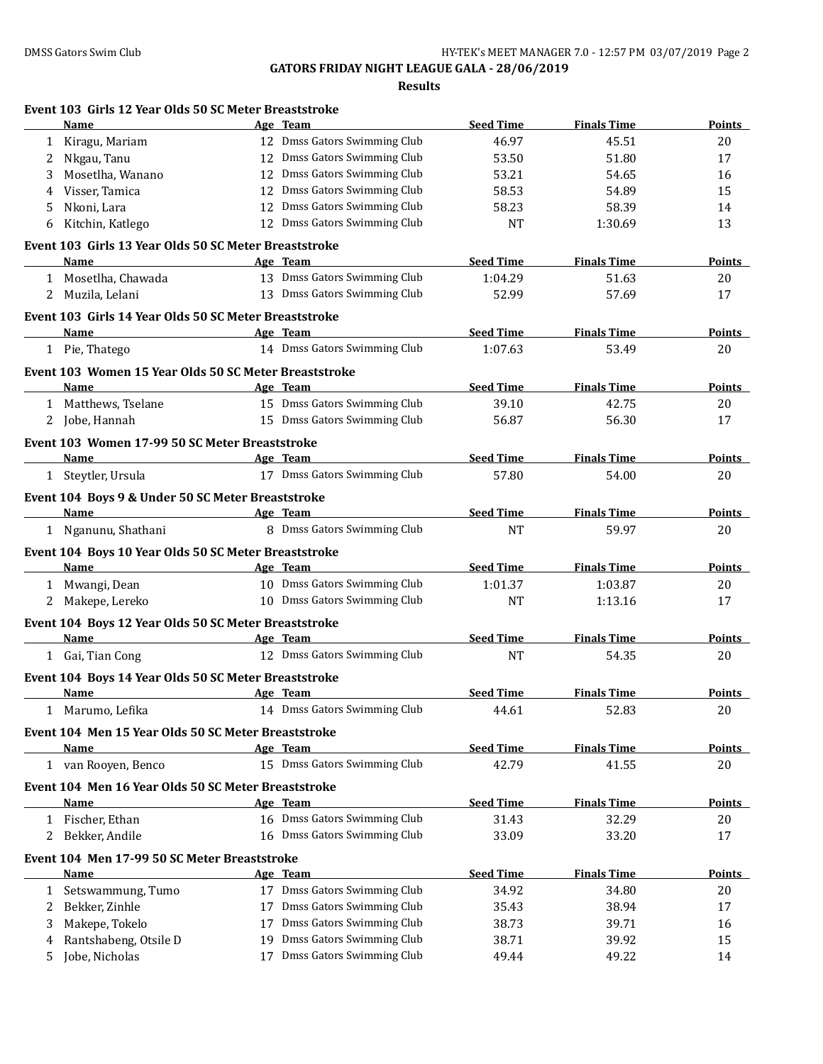| 12 Dmss Gators Swimming Club<br>1 Kiragu, Mariam<br>46.97<br>45.51<br>12 Dmss Gators Swimming Club<br>Nkgau, Tanu<br>53.50<br>51.80<br>$2^{\circ}$<br>12 Dmss Gators Swimming Club<br>Mosetlha, Wanano<br>53.21<br>3<br>54.65<br>12 Dmss Gators Swimming Club<br>Visser, Tamica<br>58.53<br>54.89<br>4<br>Nkoni, Lara<br>12 Dmss Gators Swimming Club<br>58.23<br>5<br>58.39<br>12 Dmss Gators Swimming Club<br><b>NT</b><br>Kitchin, Katlego<br>1:30.69<br>6<br>Event 103 Girls 13 Year Olds 50 SC Meter Breaststroke<br><b>Seed Time</b><br><b>Finals Time</b><br>Name<br>Age Team<br>13 Dmss Gators Swimming Club<br>1:04.29<br>1 Mosetlha, Chawada<br>51.63<br>13 Dmss Gators Swimming Club<br>2 Muzila, Lelani<br>52.99<br>57.69<br>Event 103 Girls 14 Year Olds 50 SC Meter Breaststroke<br><b>Seed Time</b><br><b>Finals Time</b><br><b>Example 2018</b> Age Team<br><b>Name</b><br>14 Dmss Gators Swimming Club<br>1:07.63<br>1 Pie, Thatego<br>53.49 | 20<br>17<br>16<br>15<br>14<br>13<br><b>Points</b><br>20<br>17 |
|---------------------------------------------------------------------------------------------------------------------------------------------------------------------------------------------------------------------------------------------------------------------------------------------------------------------------------------------------------------------------------------------------------------------------------------------------------------------------------------------------------------------------------------------------------------------------------------------------------------------------------------------------------------------------------------------------------------------------------------------------------------------------------------------------------------------------------------------------------------------------------------------------------------------------------------------------------------|---------------------------------------------------------------|
|                                                                                                                                                                                                                                                                                                                                                                                                                                                                                                                                                                                                                                                                                                                                                                                                                                                                                                                                                               |                                                               |
|                                                                                                                                                                                                                                                                                                                                                                                                                                                                                                                                                                                                                                                                                                                                                                                                                                                                                                                                                               |                                                               |
|                                                                                                                                                                                                                                                                                                                                                                                                                                                                                                                                                                                                                                                                                                                                                                                                                                                                                                                                                               |                                                               |
|                                                                                                                                                                                                                                                                                                                                                                                                                                                                                                                                                                                                                                                                                                                                                                                                                                                                                                                                                               |                                                               |
|                                                                                                                                                                                                                                                                                                                                                                                                                                                                                                                                                                                                                                                                                                                                                                                                                                                                                                                                                               |                                                               |
|                                                                                                                                                                                                                                                                                                                                                                                                                                                                                                                                                                                                                                                                                                                                                                                                                                                                                                                                                               |                                                               |
|                                                                                                                                                                                                                                                                                                                                                                                                                                                                                                                                                                                                                                                                                                                                                                                                                                                                                                                                                               |                                                               |
|                                                                                                                                                                                                                                                                                                                                                                                                                                                                                                                                                                                                                                                                                                                                                                                                                                                                                                                                                               |                                                               |
|                                                                                                                                                                                                                                                                                                                                                                                                                                                                                                                                                                                                                                                                                                                                                                                                                                                                                                                                                               |                                                               |
|                                                                                                                                                                                                                                                                                                                                                                                                                                                                                                                                                                                                                                                                                                                                                                                                                                                                                                                                                               |                                                               |
|                                                                                                                                                                                                                                                                                                                                                                                                                                                                                                                                                                                                                                                                                                                                                                                                                                                                                                                                                               |                                                               |
|                                                                                                                                                                                                                                                                                                                                                                                                                                                                                                                                                                                                                                                                                                                                                                                                                                                                                                                                                               | <b>Points</b>                                                 |
|                                                                                                                                                                                                                                                                                                                                                                                                                                                                                                                                                                                                                                                                                                                                                                                                                                                                                                                                                               | 20                                                            |
| Event 103 Women 15 Year Olds 50 SC Meter Breaststroke                                                                                                                                                                                                                                                                                                                                                                                                                                                                                                                                                                                                                                                                                                                                                                                                                                                                                                         |                                                               |
| <b>Seed Time</b><br>Name<br>Age Team<br><b>Finals Time</b>                                                                                                                                                                                                                                                                                                                                                                                                                                                                                                                                                                                                                                                                                                                                                                                                                                                                                                    | Points                                                        |
| 15 Dmss Gators Swimming Club<br>1 Matthews, Tselane<br>39.10<br>42.75                                                                                                                                                                                                                                                                                                                                                                                                                                                                                                                                                                                                                                                                                                                                                                                                                                                                                         | 20                                                            |
| 15 Dmss Gators Swimming Club<br>2 Jobe, Hannah<br>56.87<br>56.30                                                                                                                                                                                                                                                                                                                                                                                                                                                                                                                                                                                                                                                                                                                                                                                                                                                                                              | 17                                                            |
| Event 103 Women 17-99 50 SC Meter Breaststroke                                                                                                                                                                                                                                                                                                                                                                                                                                                                                                                                                                                                                                                                                                                                                                                                                                                                                                                |                                                               |
| <b>Seed Time</b><br>Age Team<br><b>Finals Time</b><br>Name<br><u> 1989 - Johann Barn, fransk politik fotograf (d. 1989)</u>                                                                                                                                                                                                                                                                                                                                                                                                                                                                                                                                                                                                                                                                                                                                                                                                                                   | Points                                                        |
| 17 Dmss Gators Swimming Club<br>57.80<br>1 Steytler, Ursula<br>54.00                                                                                                                                                                                                                                                                                                                                                                                                                                                                                                                                                                                                                                                                                                                                                                                                                                                                                          | 20                                                            |
|                                                                                                                                                                                                                                                                                                                                                                                                                                                                                                                                                                                                                                                                                                                                                                                                                                                                                                                                                               |                                                               |
| Event 104 Boys 9 & Under 50 SC Meter Breaststroke<br><b>Seed Time</b>                                                                                                                                                                                                                                                                                                                                                                                                                                                                                                                                                                                                                                                                                                                                                                                                                                                                                         |                                                               |
| <b>Finals Time</b><br><b>Name</b><br>Age Team<br>8 Dmss Gators Swimming Club<br><b>NT</b><br>59.97                                                                                                                                                                                                                                                                                                                                                                                                                                                                                                                                                                                                                                                                                                                                                                                                                                                            | <b>Points</b>                                                 |
| 1 Nganunu, Shathani                                                                                                                                                                                                                                                                                                                                                                                                                                                                                                                                                                                                                                                                                                                                                                                                                                                                                                                                           | 20                                                            |
| Event 104 Boys 10 Year Olds 50 SC Meter Breaststroke                                                                                                                                                                                                                                                                                                                                                                                                                                                                                                                                                                                                                                                                                                                                                                                                                                                                                                          |                                                               |
| Name<br>Age Team<br><b>Seed Time</b><br><b>Finals Time</b>                                                                                                                                                                                                                                                                                                                                                                                                                                                                                                                                                                                                                                                                                                                                                                                                                                                                                                    | <b>Points</b>                                                 |
| 10 Dmss Gators Swimming Club<br>1 Mwangi, Dean<br>1:01.37<br>1:03.87                                                                                                                                                                                                                                                                                                                                                                                                                                                                                                                                                                                                                                                                                                                                                                                                                                                                                          | 20                                                            |
| 10 Dmss Gators Swimming Club<br><b>NT</b><br>1:13.16<br>2 Makepe, Lereko                                                                                                                                                                                                                                                                                                                                                                                                                                                                                                                                                                                                                                                                                                                                                                                                                                                                                      | 17                                                            |
| Event 104 Boys 12 Year Olds 50 SC Meter Breaststroke                                                                                                                                                                                                                                                                                                                                                                                                                                                                                                                                                                                                                                                                                                                                                                                                                                                                                                          |                                                               |
| Name Age Team<br><b>Seed Time</b><br><b>Finals Time</b>                                                                                                                                                                                                                                                                                                                                                                                                                                                                                                                                                                                                                                                                                                                                                                                                                                                                                                       | Points                                                        |
| 12 Dmss Gators Swimming Club<br><b>NT</b><br>1 Gai, Tian Cong<br>54.35                                                                                                                                                                                                                                                                                                                                                                                                                                                                                                                                                                                                                                                                                                                                                                                                                                                                                        | 20                                                            |
| Event 104 Boys 14 Year Olds 50 SC Meter Breaststroke                                                                                                                                                                                                                                                                                                                                                                                                                                                                                                                                                                                                                                                                                                                                                                                                                                                                                                          |                                                               |
| Age Team<br><b>Seed Time</b><br><b>Finals Time</b><br>Name                                                                                                                                                                                                                                                                                                                                                                                                                                                                                                                                                                                                                                                                                                                                                                                                                                                                                                    | <b>Points</b>                                                 |
| 14 Dmss Gators Swimming Club<br>Marumo, Lefika<br>44.61<br>52.83                                                                                                                                                                                                                                                                                                                                                                                                                                                                                                                                                                                                                                                                                                                                                                                                                                                                                              | 20                                                            |
| Event 104 Men 15 Year Olds 50 SC Meter Breaststroke                                                                                                                                                                                                                                                                                                                                                                                                                                                                                                                                                                                                                                                                                                                                                                                                                                                                                                           |                                                               |
| <b>Seed Time</b><br><b>Finals Time</b><br>Name<br>Age Team                                                                                                                                                                                                                                                                                                                                                                                                                                                                                                                                                                                                                                                                                                                                                                                                                                                                                                    | <b>Points</b>                                                 |
| 15 Dmss Gators Swimming Club<br>1 van Rooyen, Benco<br>42.79<br>41.55                                                                                                                                                                                                                                                                                                                                                                                                                                                                                                                                                                                                                                                                                                                                                                                                                                                                                         | 20                                                            |
| Event 104 Men 16 Year Olds 50 SC Meter Breaststroke                                                                                                                                                                                                                                                                                                                                                                                                                                                                                                                                                                                                                                                                                                                                                                                                                                                                                                           |                                                               |
| <b>Seed Time</b><br><b>Finals Time</b><br>Name<br>Age Team                                                                                                                                                                                                                                                                                                                                                                                                                                                                                                                                                                                                                                                                                                                                                                                                                                                                                                    | <b>Points</b>                                                 |
| 16 Dmss Gators Swimming Club<br>1 Fischer, Ethan<br>31.43<br>32.29                                                                                                                                                                                                                                                                                                                                                                                                                                                                                                                                                                                                                                                                                                                                                                                                                                                                                            | 20                                                            |
| 16 Dmss Gators Swimming Club<br>Bekker, Andile<br>33.09<br>2<br>33.20                                                                                                                                                                                                                                                                                                                                                                                                                                                                                                                                                                                                                                                                                                                                                                                                                                                                                         | 17                                                            |
| Event 104 Men 17-99 50 SC Meter Breaststroke                                                                                                                                                                                                                                                                                                                                                                                                                                                                                                                                                                                                                                                                                                                                                                                                                                                                                                                  |                                                               |
| <b>Seed Time</b><br><b>Finals Time</b><br>Name<br>Age Team                                                                                                                                                                                                                                                                                                                                                                                                                                                                                                                                                                                                                                                                                                                                                                                                                                                                                                    | <b>Points</b>                                                 |
| 17 Dmss Gators Swimming Club<br>34.80<br>Setswammung, Tumo<br>34.92<br>1                                                                                                                                                                                                                                                                                                                                                                                                                                                                                                                                                                                                                                                                                                                                                                                                                                                                                      | 20                                                            |
| Dmss Gators Swimming Club<br>Bekker, Zinhle<br>35.43<br>38.94<br>2<br>17                                                                                                                                                                                                                                                                                                                                                                                                                                                                                                                                                                                                                                                                                                                                                                                                                                                                                      | 17                                                            |
| Dmss Gators Swimming Club<br>Makepe, Tokelo<br>38.73<br>39.71<br>3<br>17                                                                                                                                                                                                                                                                                                                                                                                                                                                                                                                                                                                                                                                                                                                                                                                                                                                                                      | 16                                                            |
| Dmss Gators Swimming Club<br>Rantshabeng, Otsile D<br>38.71<br>39.92<br>19<br>4                                                                                                                                                                                                                                                                                                                                                                                                                                                                                                                                                                                                                                                                                                                                                                                                                                                                               |                                                               |
| Dmss Gators Swimming Club<br>Jobe, Nicholas<br>49.22<br>49.44<br>5<br>17                                                                                                                                                                                                                                                                                                                                                                                                                                                                                                                                                                                                                                                                                                                                                                                                                                                                                      | 15                                                            |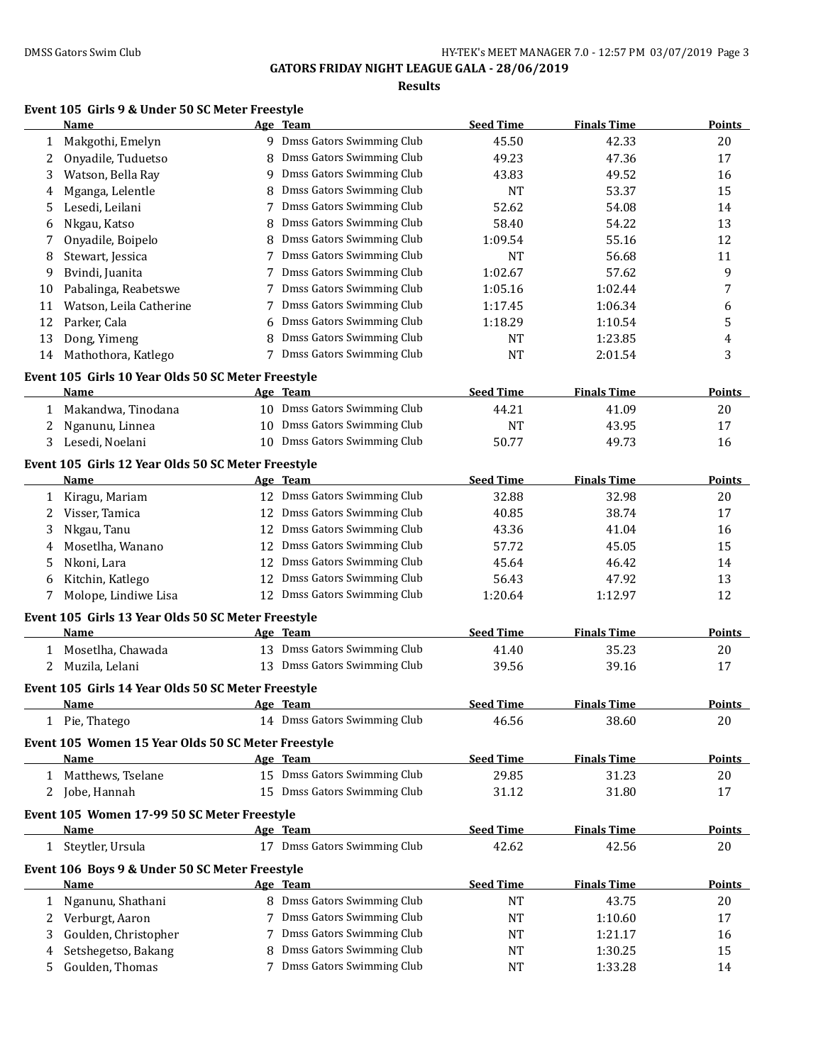## **Results**

## **Event 105 Girls 9 & Under 50 SC Meter Freestyle**

|    | <b>Name</b>                                                |    | Age Team                     | <b>Seed Time</b> | <b>Finals Time</b> | Points        |
|----|------------------------------------------------------------|----|------------------------------|------------------|--------------------|---------------|
| 1  | Makgothi, Emelyn                                           |    | 9 Dmss Gators Swimming Club  | 45.50            | 42.33              | 20            |
| 2  | Onyadile, Tuduetso                                         |    | Dmss Gators Swimming Club    | 49.23            | 47.36              | 17            |
| 3  | Watson, Bella Ray                                          |    | 9 Dmss Gators Swimming Club  | 43.83            | 49.52              | 16            |
| 4  | Mganga, Lelentle                                           |    | Dmss Gators Swimming Club    | <b>NT</b>        | 53.37              | 15            |
| 5  | Lesedi, Leilani                                            | 7  | Dmss Gators Swimming Club    | 52.62            | 54.08              | 14            |
| 6  | Nkgau, Katso                                               |    | Dmss Gators Swimming Club    | 58.40            | 54.22              | 13            |
| 7  | Onyadile, Boipelo                                          |    | Dmss Gators Swimming Club    | 1:09.54          | 55.16              | 12            |
| 8  | Stewart, Jessica                                           |    | 7 Dmss Gators Swimming Club  | <b>NT</b>        | 56.68              | 11            |
| 9  | Bvindi, Juanita                                            |    | 7 Dmss Gators Swimming Club  | 1:02.67          | 57.62              | 9             |
| 10 | Pabalinga, Reabetswe                                       |    | 7 Dmss Gators Swimming Club  | 1:05.16          | 1:02.44            | 7             |
| 11 | Watson, Leila Catherine                                    |    | Dmss Gators Swimming Club    | 1:17.45          | 1:06.34            | 6             |
| 12 | Parker, Cala                                               | 6  | Dmss Gators Swimming Club    | 1:18.29          | 1:10.54            | 5             |
| 13 | Dong, Yimeng                                               | 8  | Dmss Gators Swimming Club    | <b>NT</b>        | 1:23.85            | 4             |
| 14 | Mathothora, Katlego                                        |    | 7 Dmss Gators Swimming Club  | <b>NT</b>        | 2:01.54            | 3             |
|    | Event 105 Girls 10 Year Olds 50 SC Meter Freestyle         |    |                              |                  |                    |               |
|    | Name                                                       |    | Age Team                     | <b>Seed Time</b> | <b>Finals Time</b> | <b>Points</b> |
| 1  | Makandwa, Tinodana                                         |    | 10 Dmss Gators Swimming Club | 44.21            | 41.09              | 20            |
| 2  | Nganunu, Linnea                                            |    | 10 Dmss Gators Swimming Club | <b>NT</b>        | 43.95              | 17            |
| 3  | Lesedi, Noelani                                            |    | 10 Dmss Gators Swimming Club | 50.77            | 49.73              | 16            |
|    |                                                            |    |                              |                  |                    |               |
|    | Event 105 Girls 12 Year Olds 50 SC Meter Freestyle         |    |                              |                  |                    |               |
|    | <b>Name</b>                                                |    | Age Team                     | <b>Seed Time</b> | <b>Finals Time</b> | <b>Points</b> |
| 1  | Kiragu, Mariam                                             |    | 12 Dmss Gators Swimming Club | 32.88            | 32.98              | 20            |
| 2  | Visser, Tamica                                             | 12 | Dmss Gators Swimming Club    | 40.85            | 38.74              | 17            |
| 3  | Nkgau, Tanu                                                | 12 | Dmss Gators Swimming Club    | 43.36            | 41.04              | 16            |
| 4  | Mosetlha, Wanano                                           | 12 | Dmss Gators Swimming Club    | 57.72            | 45.05              | 15            |
| 5  | Nkoni, Lara                                                | 12 | Dmss Gators Swimming Club    | 45.64            | 46.42              | 14            |
| 6  | Kitchin, Katlego                                           | 12 | Dmss Gators Swimming Club    | 56.43            | 47.92              | 13            |
| 7  | Molope, Lindiwe Lisa                                       |    | 12 Dmss Gators Swimming Club | 1:20.64          | 1:12.97            | 12            |
|    | Event 105 Girls 13 Year Olds 50 SC Meter Freestyle         |    |                              |                  |                    |               |
|    | Name                                                       |    | Age Team                     | <b>Seed Time</b> | <b>Finals Time</b> | <b>Points</b> |
| 1  | Mosetlha, Chawada                                          |    | 13 Dmss Gators Swimming Club | 41.40            | 35.23              | 20            |
| 2  | Muzila, Lelani                                             |    | 13 Dmss Gators Swimming Club | 39.56            | 39.16              | 17            |
|    | Event 105 Girls 14 Year Olds 50 SC Meter Freestyle         |    |                              |                  |                    |               |
|    | Name                                                       |    | Age Team                     | <b>Seed Time</b> | <b>Finals Time</b> | Points        |
|    | 1 Pie, Thatego                                             |    | 14 Dmss Gators Swimming Club | 46.56            | 38.60              | 20            |
|    |                                                            |    |                              |                  |                    |               |
|    | Event 105 Women 15 Year Olds 50 SC Meter Freestyle<br>Name |    | Age Team                     | <b>Seed Time</b> | <b>Finals Time</b> | <b>Points</b> |
|    | 1 Matthews, Tselane                                        |    | 15 Dmss Gators Swimming Club | 29.85            | 31.23              |               |
|    |                                                            |    | 15 Dmss Gators Swimming Club |                  |                    | 20            |
| 2  | Jobe, Hannah                                               |    |                              | 31.12            | 31.80              | 17            |
|    | Event 105 Women 17-99 50 SC Meter Freestyle                |    |                              |                  |                    |               |
|    | <b>Name</b>                                                |    | Age Team                     | <b>Seed Time</b> | <b>Finals Time</b> | <b>Points</b> |
|    | 1 Steytler, Ursula                                         |    | 17 Dmss Gators Swimming Club | 42.62            | 42.56              | 20            |
|    | Event 106 Boys 9 & Under 50 SC Meter Freestyle             |    |                              |                  |                    |               |
|    | Name                                                       |    | Age Team                     | <b>Seed Time</b> | <b>Finals Time</b> | Points        |
| 1  | Nganunu, Shathani                                          |    | 8 Dmss Gators Swimming Club  | <b>NT</b>        | 43.75              | 20            |
| 2  | Verburgt, Aaron                                            |    | 7 Dmss Gators Swimming Club  | NT               | 1:10.60            | 17            |
| 3  | Goulden, Christopher                                       | 7  | Dmss Gators Swimming Club    | <b>NT</b>        | 1:21.17            | 16            |
| 4  | Setshegetso, Bakang                                        | 8  | Dmss Gators Swimming Club    | <b>NT</b>        | 1:30.25            | 15            |
| 5  | Goulden, Thomas                                            |    | 7 Dmss Gators Swimming Club  | <b>NT</b>        | 1:33.28            | 14            |
|    |                                                            |    |                              |                  |                    |               |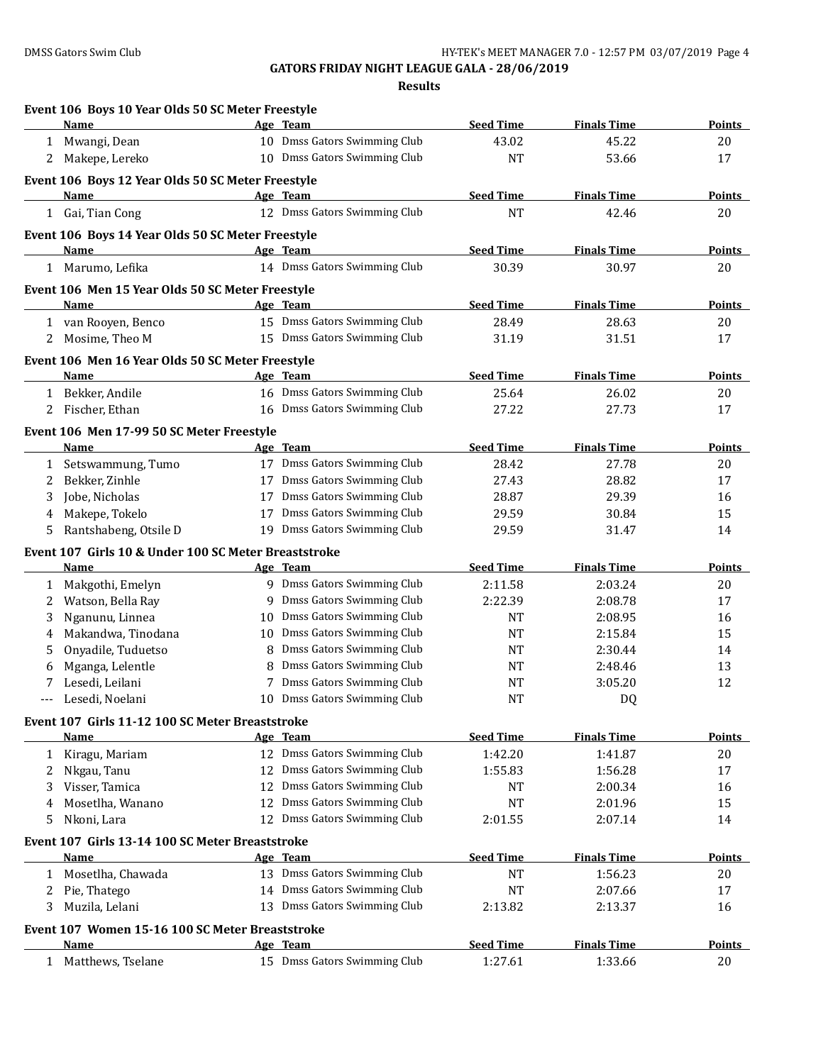|   | Event 106 Boys 10 Year Olds 50 SC Meter Freestyle<br>Name |    | Age Team                     | <b>Seed Time</b> | <b>Finals Time</b> | Points        |
|---|-----------------------------------------------------------|----|------------------------------|------------------|--------------------|---------------|
|   |                                                           |    |                              |                  |                    |               |
|   | 1 Mwangi, Dean                                            |    | 10 Dmss Gators Swimming Club | 43.02            | 45.22              | 20            |
|   | 2 Makepe, Lereko                                          |    | 10 Dmss Gators Swimming Club | <b>NT</b>        | 53.66              | 17            |
|   | Event 106 Boys 12 Year Olds 50 SC Meter Freestyle         |    |                              |                  |                    |               |
|   | Name                                                      |    | Age Team                     | <b>Seed Time</b> | <b>Finals Time</b> | <b>Points</b> |
|   | 1 Gai, Tian Cong                                          |    | 12 Dmss Gators Swimming Club | <b>NT</b>        | 42.46              | 20            |
|   | Event 106 Boys 14 Year Olds 50 SC Meter Freestyle         |    |                              |                  |                    |               |
|   | Name                                                      |    | Age Team                     | <b>Seed Time</b> | <b>Finals Time</b> | Points        |
|   | 1 Marumo, Lefika                                          |    | 14 Dmss Gators Swimming Club | 30.39            | 30.97              | 20            |
|   | Event 106 Men 15 Year Olds 50 SC Meter Freestyle          |    |                              |                  |                    |               |
|   | Name                                                      |    | Age Team                     | <b>Seed Time</b> | <b>Finals Time</b> | <b>Points</b> |
|   | 1 van Rooyen, Benco                                       |    | 15 Dmss Gators Swimming Club | 28.49            | 28.63              | 20            |
|   | 2 Mosime, Theo M                                          |    | 15 Dmss Gators Swimming Club | 31.19            | 31.51              | 17            |
|   | Event 106 Men 16 Year Olds 50 SC Meter Freestyle          |    |                              |                  |                    |               |
|   | <b>Name</b>                                               |    | Age Team                     | <b>Seed Time</b> | <b>Finals Time</b> | <b>Points</b> |
|   | 1 Bekker, Andile                                          |    | 16 Dmss Gators Swimming Club | 25.64            | 26.02              | 20            |
|   | 2 Fischer, Ethan                                          |    | 16 Dmss Gators Swimming Club | 27.22            | 27.73              | 17            |
|   | Event 106 Men 17-99 50 SC Meter Freestyle                 |    |                              |                  |                    |               |
|   | Name                                                      |    | Age Team                     | <b>Seed Time</b> | <b>Finals Time</b> | <b>Points</b> |
| 1 | Setswammung, Tumo                                         |    | 17 Dmss Gators Swimming Club | 28.42            | 27.78              | 20            |
| 2 | Bekker, Zinhle                                            |    | 17 Dmss Gators Swimming Club | 27.43            | 28.82              | 17            |
| 3 | Jobe, Nicholas                                            |    | 17 Dmss Gators Swimming Club | 28.87            | 29.39              | 16            |
| 4 | Makepe, Tokelo                                            | 17 | Dmss Gators Swimming Club    | 29.59            | 30.84              | 15            |
| 5 | Rantshabeng, Otsile D                                     |    | 19 Dmss Gators Swimming Club | 29.59            | 31.47              | 14            |
|   | Event 107 Girls 10 & Under 100 SC Meter Breaststroke      |    |                              |                  |                    |               |
|   | Name                                                      |    | Age Team                     | <b>Seed Time</b> | <b>Finals Time</b> | Points        |
| 1 | Makgothi, Emelyn                                          |    | 9 Dmss Gators Swimming Club  | 2:11.58          | 2:03.24            | 20            |
| 2 | Watson, Bella Ray                                         | 9  | Dmss Gators Swimming Club    | 2:22.39          | 2:08.78            | 17            |
| 3 | Nganunu, Linnea                                           | 10 | Dmss Gators Swimming Club    | <b>NT</b>        | 2:08.95            | 16            |
| 4 | Makandwa, Tinodana                                        | 10 | Dmss Gators Swimming Club    | <b>NT</b>        | 2:15.84            | 15            |
| 5 | Onyadile, Tuduetso                                        | 8  | Dmss Gators Swimming Club    | <b>NT</b>        | 2:30.44            | 14            |
| 6 | Mganga, Lelentle                                          | 8  | Dmss Gators Swimming Club    | NT               | 2:48.46            | 13            |
| 7 | Lesedi, Leilani                                           | 7  | Dmss Gators Swimming Club    | NT               | 3:05.20            | 12            |
|   | Lesedi, Noelani                                           |    | 10 Dmss Gators Swimming Club | <b>NT</b>        | <b>DQ</b>          |               |
|   | Event 107 Girls 11-12 100 SC Meter Breaststroke           |    |                              |                  |                    |               |
|   | Name                                                      |    | Age Team                     | <b>Seed Time</b> | <b>Finals Time</b> | <b>Points</b> |
| 1 | Kiragu, Mariam                                            |    | 12 Dmss Gators Swimming Club | 1:42.20          | 1:41.87            | 20            |
| 2 | Nkgau, Tanu                                               |    | 12 Dmss Gators Swimming Club | 1:55.83          | 1:56.28            | 17            |
| 3 | Visser, Tamica                                            | 12 | Dmss Gators Swimming Club    | NT               | 2:00.34            | 16            |
| 4 | Mosetlha, Wanano                                          | 12 | Dmss Gators Swimming Club    | <b>NT</b>        | 2:01.96            | 15            |
| 5 | Nkoni, Lara                                               |    | 12 Dmss Gators Swimming Club | 2:01.55          | 2:07.14            | 14            |
|   | Event 107 Girls 13-14 100 SC Meter Breaststroke           |    |                              |                  |                    |               |
|   | Name                                                      |    | Age Team                     | <b>Seed Time</b> | <b>Finals Time</b> | <b>Points</b> |
| 1 | Mosetlha, Chawada                                         |    | 13 Dmss Gators Swimming Club | <b>NT</b>        | 1:56.23            | 20            |
| 2 | Pie, Thatego                                              |    | 14 Dmss Gators Swimming Club | NT               | 2:07.66            | 17            |
| 3 | Muzila, Lelani                                            | 13 | Dmss Gators Swimming Club    | 2:13.82          | 2:13.37            | 16            |
|   | Event 107 Women 15-16 100 SC Meter Breaststroke           |    |                              |                  |                    |               |
|   | Name                                                      |    | Age Team                     | <b>Seed Time</b> | <b>Finals Time</b> | <b>Points</b> |
|   | 1 Matthews, Tselane                                       |    | 15 Dmss Gators Swimming Club | 1:27.61          | 1:33.66            | 20            |
|   |                                                           |    |                              |                  |                    |               |